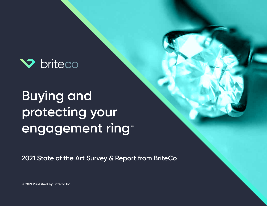

# **Buying and protecting your engagement ring TM**

**2021 State of the Art Survey & Report from BriteCo**

**© 2021 Published by BriteCo Inc.**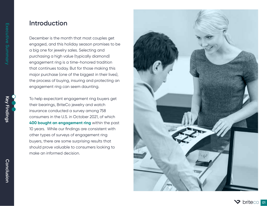### **Introduction**

December is the month that most couples get engaged, and this holiday season promises to be a big one for jewelry sales. Selecting and purchasing a high value (typically diamond) engagement ring is a time-honored tradition that continues today. But for those making this major purchase (one of the biggest in their lives), the process of buying, insuring and protecting an engagement ring can seem daunting.

To help expectant engagement ring buyers get their bearings, BriteCo jewelry and watch insurance conducted a survey among 758 consumers in the U.S. in October 2021, of which **400 bought an engagement ring** within the past 10 years. While our findings are consistent with other types of surveys of engagement ring buyers, there are some surprising results that should prove valuable to consumers looking to make an informed decision.



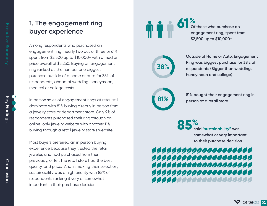## **1. The engagement ring buyer experience**

Among respondents who purchased an engagement ring, nearly two out of three or 61% spent from \$2,500 up to \$10,000+ with a median price overall of \$3,250. Buying an engagement ring ranked as the number one biggest purchase outside of a home or auto for 38% of respondents, ahead of wedding, honeymoon, medical or college costs.

In person sales of engagement rings at retail still dominate with 81% buying directly in person from a jewelry store or department store. Only 9% of respondents purchased their ring through an online-only jewelry website with another 11% buying through a retail jewelry store's website.

Most buyers preferred an in person buying experience because they trusted the retail jeweler, and had purchased from them previously, or felt the retail store had the best quality, and price. And in making their selection, sustainability was a high priority with 85% of respondents ranking it very or somewhat important in their purchase decision.

**61**

**Of those who purchase an engagement ring, spent from \$2,500 up to \$10,000+ %**

**38%**

**Outside of Home or Auto, Engagement Ring was biggest purchase for 38% of respondents (Bigger than wedding, honeymoon and college)**

**81%**

**81% bought their engagement ring in person at a retail store**

**said "sustainability" was somewhat or very important to their purchase decision 85 %**

## 00000000000000000000 ,,,,,,,,,,,,,,,,,,,,,, ,,,,,,,,,,,,,,,,,,,,,, 00000000000000000000 **0000000000000000000000**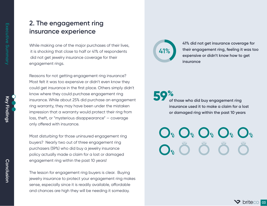### **2. The engagement ring insurance experience**

While making one of the major purchases of their lives, it is shocking that close to half or 41% of respondents did not get jewelry insurance coverage for their engagement rings.

Reasons for not getting engagement ring insurance? Most felt it was too expensive or didn't even know they could get insurance in the first place. Others simply didn't know where they could purchase engagement ring insurance. While about 25% did purchase an engagement ring warranty, they may have been under the mistaken impression that a warranty would protect their ring from loss, theft, or "mysterious disappearance" — coverage only offered with insurance.

Most disturbing for those uninsured engagement ring buyers? Nearly two out of three engagement ring purchasers (59%) who did buy a jewelry insurance policy actually made a claim for a lost or damaged engagement ring within the past 10 years!

The lesson for engagement ring buyers is clear. Buying jewelry insurance to protect your engagement ring makes sense, especially since it is readily available, affordable and chances are high they will be needing it someday.



**41% did not get insurance coverage for their engagement ring, feeling it was too expensive or didn't know how to get insurance**

**of those who did buy engagement ring insurance used it to make a claim for a lost or damaged ring within the past 10 years 59%**

 $O^*$   $O^*$   $O^*$   $O^*$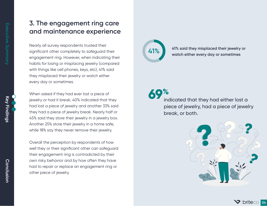**Conclusion Key Findings**

Conclusion

Key Findings

### **3. The engagement ring care and maintenance experience**

Nearly all survey respondents trusted their significant other completely to safeguard their engagement ring. However, when indicating their habits for losing or misplacing jewelry (compared with things like cell phones, keys, etc), 41% said they misplaced their jewelry or watch either every day or sometimes.

When asked if they had ever lost a piece of jewelry or had it break, 40% indicated that they had lost a piece of jewelry and another 33% said they had a piece of jewelry break. Nearly half or 45% said they store their jewelry in a jewelry box. Another 25% store their jewelry in a home safe, while 18% say they never remove their jewelry.

Overall the perception by respondents of how well they or their significant other can safeguard their engagement ring is contradicted by their own risky behavior and by how often they have had to repair or replace an engagement ring or other piece of jewelry.



**41% 41% said they misplaced their jewelry or watch either every day or sometimes**

# **69%**

indicated that they had either lost a piece of jewelry, had a piece of jewelry break, or both.



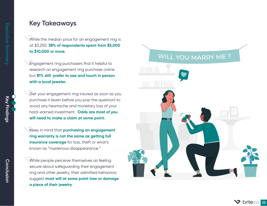### **Key Takeaways**

While the median price for an engagement ring is at \$3,250, **38% of respondents spent from \$5,000 to \$10,000 or more.** 

Engagement ring purchasers find it helpful to research an engagement ring purchase online but **81% still prefer to see and touch in person with a local jeweler.** 

Get your engagement ring insured as soon as you purchase it (even before you pop the question) to avoid any heartache and monetary loss of your hard-earned investment. **Odds are most of you will need to make a claim at some point.**

Keep in mind that **purchasing an engagement ring warranty is not the same as getting full insurance coverage** for loss, theft or what's known as "mysterious disappearance."

While people perceive themselves as feeling secure about safeguarding their engagement ring and other jewelry, their admitted behaviors suggest **most will at some point lose or damage a piece of their jewelry**.

### WILL YOU MARRY ME?

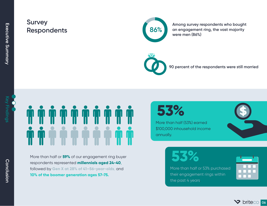**Key Findings** 

### **Survey**  Respondents **86%**



**Among survey respondents who bought an engagement ring, the vast majority were men (86%)**



**90 percent of the respondents were still married**

More than half or **59%** of our engagement ring buyer respondents represented **millennials aged 24-40**, followed by **Gen X at 28% of 41–56-year-olds**, and **10% of the boomer generation ages 57-75.**

**53%**

More than half (53%) earned \$100,000 inhousehold income annually.

**53%**





**Conclusion Key Findings** Conclusion

**V** briteco 06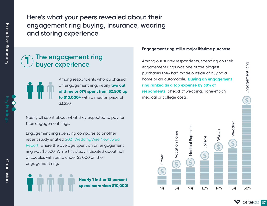**(ey Findings** 

**Here's what your peers revealed about their engagement ring buying, insurance, wearing and storing experience.**

### **The engagement ring buyer experience 1**



Among respondents who purchased an engagement ring, nearly **two out of three or 61% spent from \$2,500 up to \$10,000+** with a median price of \$3,250.

Nearly all spent about what they expected to pay for their engagement rings.

Engagement ring spending compares to another recent study entitled [2021 WeddingWire Newlywed](https://www.wedinsights.com/report/weddingwire-newlywed-report-covid) [Report, w](https://www.wedinsights.com/report/weddingwire-newlywed-report-covid)here the average spent on an engagement ring was \$5,500. While this study indicated about half of couples will spend under \$5,000 on their engagement ring.



**Nearly 1 in 5 or 18 percent spend more than \$10,000!**

#### **Engagement ring still a major lifetime purchase.**

Among our survey respondents, spending on their engagement rings was one of the biggest purchases they had made outside of buying a home or an automobile. **Buying an engagement ring ranked as a top expense by 38% of respondents,** ahead of wedding, honeymoon, medical or college costs.



**Driteco** of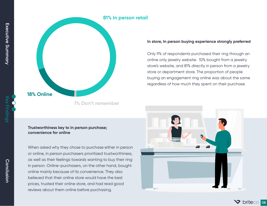

**<sup>1%</sup> Don't remember**

#### **In store, In person buying experience strongly preferred**

Only 9% of respondents purchased their ring through an online only jewelry website. 10% bought from a jewelry store's website, and 81% directly in person from a jewelry store or department store. The proportion of people buying an engagement ring online was about the same regardless of how much they spent on their purchase.



When asked why they chose to purchase either in person or online, in person purchasers prioritized trustworthiness, as well as their feelings towards wanting to buy their ring In person. Online-purchasers, on the other hand, bought online mainly because of its convenience. They also believed that their online store would have the best prices, trusted their online store, and had read good reviews about them online before purchasing.



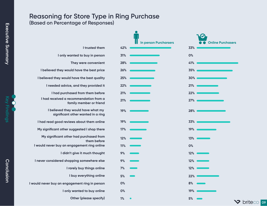### **Reasoning for Store Type in Ring Purchase (Based on Percentage of Responses)**

|                                                                          | <b>In person Purcharsers</b> | <b>Online Purchasers</b> |
|--------------------------------------------------------------------------|------------------------------|--------------------------|
| I trusted them                                                           | 42%                          | 33%                      |
| I only wanted to buy in person                                           | 31%                          | 0%                       |
| They were convenient                                                     | 28%                          | 41%                      |
| I believed they would have the best price                                | 26%                          | 35%                      |
| I believed they would have the best quality                              | 25%                          | 30%                      |
| I needed advice, and they provided it                                    | 22%                          | 21%                      |
| I had purchased from them before                                         | 21%                          | 22%                      |
| I had received a recommendation from a<br>family member or friend        | 21%                          | 27%                      |
| I believed they would have what my<br>significant other wanted in a ring | 19%                          | 28%                      |
| I had read good reviews about them online                                | 19%                          | 33%                      |
| My significant other suggested I shop there                              | 17%                          | 19%                      |
| My significant other had purchased from<br>them before                   | 12%                          | 13%                      |
| I would never buy an engagement ring online                              | 11%                          | 0%                       |
| I didn't give it much thought                                            | 9%                           | 12%                      |
| I never considered shopping somewhere else                               | 9%                           | 12%                      |
| I rarely buy things online                                               | 7%                           | 12%                      |
| I buy everything online                                                  | 5%                           | 22%                      |
| I would never buy an engagement ring in person                           | 0%                           | 8%                       |
| I only wanted to buy online                                              | 0%                           | 19%                      |
| <b>Other (please specify)</b>                                            | 1%                           | 5%                       |
|                                                                          |                              |                          |

**V** briteco os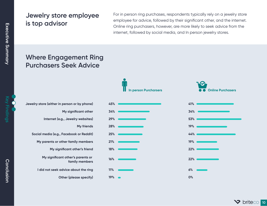### **Jewelry store employee is top advisor**

For in person ring purchases, respondents typically rely on a jewelry store employee for advice, followed by their significant other, and the internet. Online ring purchasers, however, are more likely to seek advice from the internet, followed by social media, and In person jewelry stores.

## **Where Engagement Ring Purchasers Seek Advice**

| Jewelry store (either in person or by phone)        |
|-----------------------------------------------------|
| My significant other                                |
| Internet (e.g., Jewelry websites)                   |
| My friends                                          |
| Social media (e.g., Facebook or Reddit)             |
| My parents or other family members                  |
| My significant other's friend                       |
| My significant other's parents or<br>family members |
| I did not seek advice about the ring                |
| <b>Other (please specify)</b>                       |



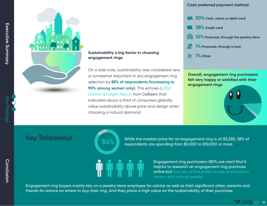

### **Sustainability a big factor in choosing engagement rings**

On a side note, sustainability was considered very or somewhat important in any engagement ring selection by **85% of respondents (increasing to 90% among women only).** This echoes a [2021](https://www.debeersgroup.com/reports/insights/the-diamond-insight-report-2021)  [Diamond Insight Report](https://www.debeersgroup.com/reports/insights/the-diamond-insight-report-2021) from DeBeers that indicated about a third of consumers globally value sustainability above price and design when choosing a natural diamond.

#### **Cash preferred payment method**

- **50% Cash, check or debit card**
- **38% Credit card**
- **10% Financed, through the jewelry store**
- **1% Financed, through a loan**
- **1% Other**

**Overall, engagement ring purchasers felt very happy or satisfied with their engagement rings**





**Key Takeaways 1989 12:30 Mondata While the median price for an engagement ring is at \$3,250, 38% of respondents are spending from \$5,000 to \$10,000 or more.** 

**Engagement ring purchasers (80% are men) find it helpful to research an engagement ring purchase online but four out of five prefer to see and touch in person with a local jeweler.** 

**Engagement ring buyers mainly rely on a jewelry store employee for advice as well as their significant other, parents and friends for advice on where to buy their ring. And they place a high value on the sustainability of their purchase.** 

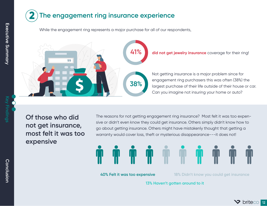

While the engagement ring represents a major purchase for all of our respondents,



**Of those who did not get insurance, most felt it was too expensive**

The reasons for not getting engagement ring insurance? Most felt it was too expensive or didn't even know they could get insurance. Others simply didn't know how to go about getting insurance. Others might have mistakenly thought that getting a warranty would cover loss, theft or mysterious disappearance---it does not!

![](_page_12_Picture_5.jpeg)

**40% Felt it was too expensive 18% Didn't know you could get insurance**

**13% Haven't gotten around to it**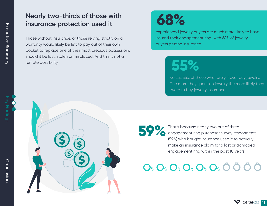## **Nearly two-thirds of those with insurance protection used it**

Those without insurance, or those relying strictly on a warranty would likely be left to pay out of their own pocket to replace one of their most precious possessions should it be lost, stolen or misplaced. And this is not a remote possibility.

**68%**

experienced jewelry buyers are much more likely to have insured their engagement ring, with 68% of jewelry buyers getting insurance

![](_page_13_Picture_5.jpeg)

versus 55% of those who rarely if ever buy jewelry. The more they spent on jewelry the more likely they were to buy jewelry insurance.

That's because nearly two out of three engagement ring purchaser survey respondents (59%) who bought insurance used it to actually make an insurance claim for a lost or damaged engagement ring within the past 10 years. **59%**

 $O_{\frac{a}{2}} O_{\frac{a}{2}} O_{\frac{a}{2}} O_{\frac{a}{2}} O_{\frac{a}{2}} O_{\frac{a}{2}} O_{\frac{a}{2}} O_{\frac{a}{2}} O_{\frac{a}{2}} O_{\frac{a}{2}} O_{\frac{a}{2}} O_{\frac{a}{2}} O_{\frac{a}{2}} O_{\frac{a}{2}} O_{\frac{a}{2}} O_{\frac{a}{2}} O_{\frac{a}{2}} O_{\frac{a}{2}} O_{\frac{a}{2}} O_{\frac{a}{2}} O_{\frac{a}{2}} O_{\frac{a}{2}} O_{\frac{a}{2}} O_{\frac{a}{2}} O_{\frac$ 

![](_page_13_Picture_10.jpeg)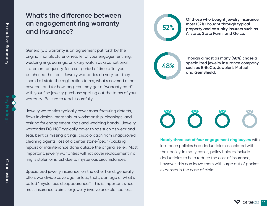### **What's the difference between an engagement ring warranty and insurance?**

Generally, a warranty is an agreement put forth by the original manufacturer or retailer of your engagement ring, wedding ring, earrings, or luxury watch as a conditional statement of quality, for a set period of time after you purchased the item. Jewelry warranties do vary, but they should all state the registration terms, what's covered or not covered, and for how long. You may get a "warranty card" with your fine jewelry purchase spelling out the terms of your warranty. Be sure to read it carefully.

Jewelry warranties typically cover manufacturing defects, flaws in design, materials, or workmanship, cleanings, and resizing for engagement rings and wedding bands. Jewelry warranties DO NOT typically cover things such as wear and tear, bent or missing prongs, discoloration from unapproved cleaning agents, loss of a center stone/pearl/backing, repairs or maintenance done outside the original seller. Most important, jewelry warranties will not cover replacement if a ring is stolen or is lost due to mysterious circumstances.

Specialized jewelry insurance, on the other hand, generally offers worldwide coverage for loss, theft, damage or what's called "mysterious disappearance." This is important since most insurance claims for jewelry involve unexplained loss.

![](_page_14_Figure_5.jpeg)

**Of those who bought jewelry insurance, most (52%) bought through typical property and casualty insurers such as Allstate, State Farm, and Geico.** 

**48%**

**Though almost as many (48%) chose a specialized jewelry insurance company such as BriteCo, Jeweler's Mutual and GemShield.**

**Nearly three out of four engagement ring buyers** with insurance policies had deductibles associated with their policy. In many cases, policy holders include deductibles to help reduce the cost of insurance, however, this can leave them with large out of pocket expenses in the case of claim.

![](_page_14_Picture_12.jpeg)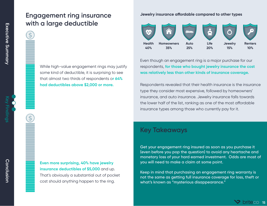### **Engagement ring insurance with a large deductible**

While high-value engagement rings may justify some kind of deductible, it is surprising to see that almost two thirds of respondents o**r 64% had deductibles above \$2,000 or more.** 

**Even more surprising, 40% have jewelry insurance deductibles of \$5,000** and up. That's obviously a substantial out of pocket cost should anything happen to the ring.

#### **Jewelry insurance affordable compared to other types**

![](_page_15_Figure_5.jpeg)

Even though an engagement ring is a major purchase for our respondents, **for those who bought jewelry insurance the cost was relatively less than other kinds of insurance coverage.** 

Respondents revealed that their health insurance is the insurance type they consider most expensive, followed by homeowners' insurance, and auto insurance. Jewelry insurance falls towards the lower half of the list, ranking as one of the most affordable insurance types among those who currently pay for it.

### **Key Takeaways**

**Get your engagement ring insured as soon as you purchase it (even before you pop the question) to avoid any heartache and monetary loss of your hard earned investment. Odds are most of you will need to make a claim at some point.**

**Keep in mind that purchasing an engagement ring warranty is not the same as getting full insurance coverage for loss, theft or what's known as "mysterious disappearance."**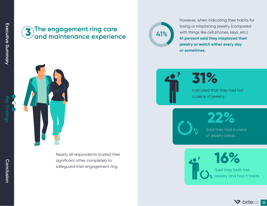### **The engagement ring care and maintenance experience 3**

**41%**

However, when indicating their habits for losing or misplacing jewelry (compared with things like cell phones, keys, etc.) **41 percent said they misplaced their jewelry or watch either every day or sometimes.** 

![](_page_16_Picture_4.jpeg)

Nearly all respondents trusted their significant other completely to safeguard their engagement ring.

![](_page_16_Picture_6.jpeg)

Indicated that they had lost a piece of jewelry.

> **22%** Said they had a piece of jewelry break.

![](_page_16_Picture_9.jpeg)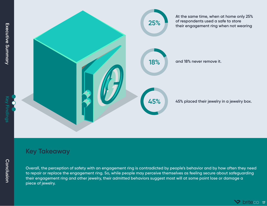![](_page_17_Picture_1.jpeg)

![](_page_17_Picture_2.jpeg)

![](_page_17_Figure_3.jpeg)

## **Key Takeaway**

**Overall, the perception of safety with an engagement ring is contradicted by people's behavior and by how often they need to repair or replace the engagement ring. So, while people may perceive themselves as feeling secure about safeguarding their engagement ring and other jewelry, their admitted behaviors suggest most will at some point lose or damage a piece of jewelry.**

![](_page_17_Picture_7.jpeg)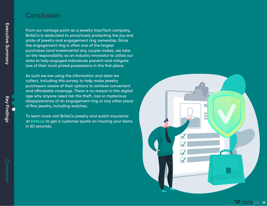### **Conclusion**

**From our vantage point as a jewelry InsurTech company, BriteCo is dedicated to proactively protecting the joy and pride of jewelry and engagement ring ownership. Since the engagement ring is often one of the largest purchases (and investments) any couple makes, we take on the responsibility as an industry innovator to utilize our data to help engaged individuals prevent and mitigate loss of their most prized possessions in the first place.** 

**As such we are using the information and data we collect, including this survey, to help make jewelry purchasers aware of their options to achieve convenient**  and affordable coverage. There is no reason in this digital **age why anyone need risk the theft, loss or mysterious disappearance of an engagement ring or any other piece of fine jewelry, including watches.**

**To learn more visit BriteCo jewelry and watch insurance at [brite.co](https://brite.co/) to get a customer quote on insuring your items in 60 seconds.** 

![](_page_18_Picture_4.jpeg)

**briteco** 18